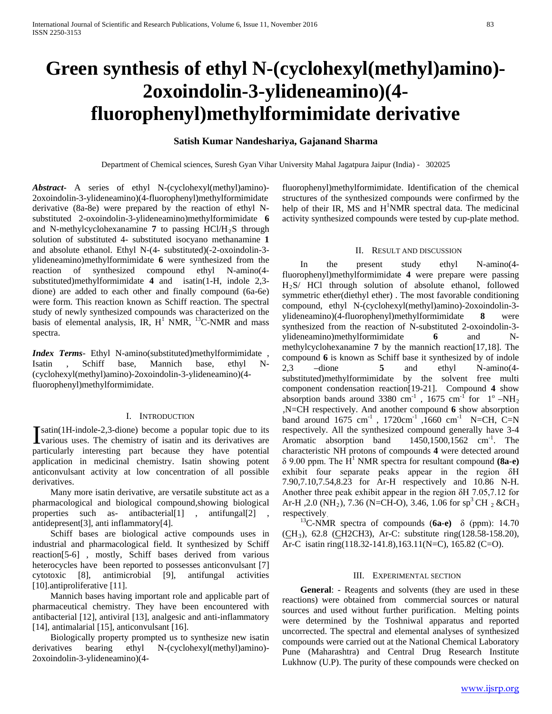# **Green synthesis of ethyl N-(cyclohexyl(methyl)amino)- 2oxoindolin-3-ylideneamino)(4 fluorophenyl)methylformimidate derivative**

## **Satish Kumar Nandeshariya, Gajanand Sharma**

Department of Chemical sciences, Suresh Gyan Vihar University Mahal Jagatpura Jaipur (India) - 302025

*Abstract***-** A series of ethyl N-(cyclohexyl(methyl)amino)- 2oxoindolin-3-ylideneamino)(4-fluorophenyl)methylformimidate derivative (8a-8e) were prepared by the reaction of ethyl Nsubstituted 2-oxoindolin-3-ylideneamino)methylformimidate **6**  and N-methylcyclohexanamine  $7$  to passing HCl/H<sub>2</sub>S through solution of substituted 4- substituted isocyano methanamine **1**  and absolute ethanol. Ethyl N-(4- substituted)(-2-oxoindolin-3 ylideneamino)methylformimidate **6** were synthesized from the reaction of synthesized compound ethyl N-amino(4 substituted)methylformimidate **4** and isatin(1-H, indole 2,3 dione) are added to each other and finally compound (6a-6e) were form. This reaction known as Schiff reaction. The spectral study of newly synthesized compounds was characterized on the basis of elemental analysis, IR,  $H^1$  NMR,  $^{13}$ C-NMR and mass spectra.

*Index Terms*- Ethyl N-amino(substituted)methylformimidate , Isatin , Schiff base, Mannich base, ethyl N- (cyclohexyl(methyl)amino)-2oxoindolin-3-ylideneamino)(4 fluorophenyl)methylformimidate.

## I. INTRODUCTION

satin(1H-indole-2,3-dione) become a popular topic due to its **Satin**(1H-indole-2,3-dione) become a popular topic due to its various uses. The chemistry of isatin and its derivatives are particularly interesting part because they have potential application in medicinal chemistry. Isatin showing potent anticonvulsant activity at low concentration of all possible derivatives.

 Many more isatin derivative, are versatile substitute act as a pharmacological and biological compound,showing biological properties such as- antibacterial[1] , antifungal[2] , antidepresent[3], anti inflammatory[4].

 Schiff bases are biological active compounds uses in industrial and pharmacological field. It synthesized by Schiff reaction[5-6] , mostly, Schiff bases derived from various heterocycles have been reported to possesses anticonvulsant [7] cytotoxic [8], antimicrobial [9], antifungal activities [10].antiproliferative [11].

 Mannich bases having important role and applicable part of pharmaceutical chemistry. They have been encountered with antibacterial [12], antiviral [13], analgesic and anti-inflammatory [14], antimalarial [15], anticonvulsant [16].

 Biologically property prompted us to synthesize new isatin derivatives bearing ethyl N-(cyclohexyl(methyl)amino)- 2oxoindolin-3-ylideneamino)(4fluorophenyl)methylformimidate. Identification of the chemical structures of the synthesized compounds were confirmed by the help of their IR, MS and H<sup>1</sup>NMR spectral data. The medicinal activity synthesized compounds were tested by cup-plate method.

#### II. RESULT AND DISCUSSION

 In the present study ethyl N-amino(4 fluorophenyl)methylformimidate **4** were prepare were passing H2S/ HCl through solution of absolute ethanol, followed symmetric ether(diethyl ether) . The most favorable conditioning compound, ethyl N-(cyclohexyl(methyl)amino)-2oxoindolin-3 ylideneamino)(4-fluorophenyl)methylformimidate **8** were synthesized from the reaction of N-substituted 2-oxoindolin-3 ylideneamino)methylformimidate **6** and Nmethylcyclohexanamine **7** by the mannich reaction[17,18]. The compound **6** is known as Schiff base it synthesized by of indole 2,3 –dione **5** and ethyl N-amino(4 substituted)methylformimidate by the solvent free multi component condensation reaction[19-21]. Compound **4** show absorption bands around 3380 cm<sup>-1</sup>, 1675 cm<sup>-1</sup> for  $1^{\circ}$  –NH<sub>2</sub> ,N=CH respectively. And another compound **6** show absorption band around  $1675 \text{ cm}^{-1}$ ,  $1720 \text{ cm}^{-1}$ ,  $1660 \text{ cm}^{-1}$  N=CH, C=N respectively. All the synthesized compound generally have 3-4 Aromatic absorption band  $1450, 1500, 1562$  cm<sup>-1</sup>. The characteristic NH protons of compounds **4** were detected around  $\delta$  9.00 ppm. The H<sup>1</sup> NMR spectra for resultant compound **(8a-e)** exhibit four separate peaks appear in the region δH 7.90,7.10,7.54,8.23 for Ar-H respectively and 10.86 N-H. Another three peak exhibit appear in the region δH 7.05,7.12 for Ar-H, 2.0 (NH<sub>2</sub>), 7.36 (N=CH-O), 3.46, 1.06 for sp<sup>3</sup> CH<sub>2</sub> & CH<sub>3</sub> respectively.

 13C-NMR spectra of compounds (**6a-e)** δ (ppm): 14.70 (CH<sub>3</sub>), 62.8 (CH2CH3), Ar-C: substitute ring(128.58-158.20), Ar-C isatin ring(118.32-141.8),163.11(N=C), 165.82 (C=O).

#### III. EXPERIMENTAL SECTION

 **General**: - Reagents and solvents (they are used in these reactions) were obtained from commercial sources or natural sources and used without further purification. Melting points were determined by the Toshniwal apparatus and reported uncorrected. The spectral and elemental analyses of synthesized compounds were carried out at the National Chemical Laboratory Pune (Maharashtra) and Central Drug Research Institute Lukhnow (U.P). The purity of these compounds were checked on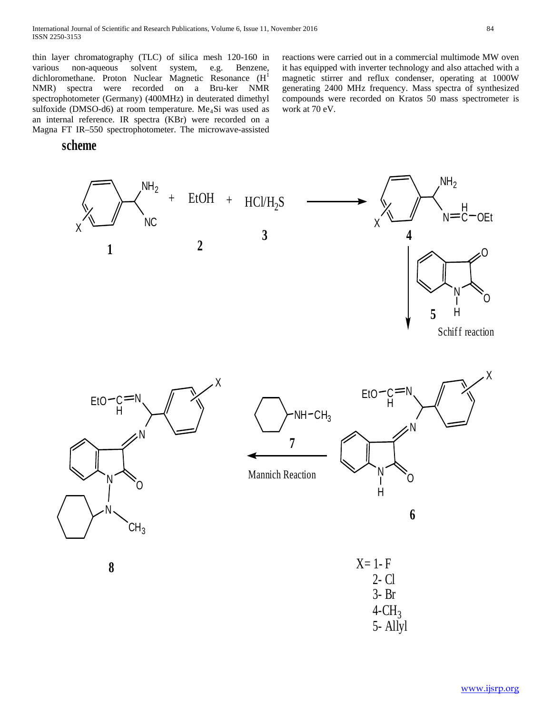thin layer chromatography (TLC) of silica mesh 120-160 in various non-aqueous solvent system, e.g. Benzene, dichloromethane. Proton Nuclear Magnetic Resonance (H<sup>1</sup> NMR) spectra were recorded on a Bru-ker NMR spectrophotometer (Germany) (400MHz) in deuterated dimethyl sulfoxide (DMSO-d6) at room temperature. Me<sub>4</sub>Si was used as an internal reference. IR spectra (KBr) were recorded on a Magna FT IR–550 spectrophotometer. The microwave-assisted

**scheme**

reactions were carried out in a commercial multimode MW oven it has equipped with inverter technology and also attached with a magnetic stirrer and reflux condenser, operating at 1000W generating 2400 MHz frequency. Mass spectra of synthesized compounds were recorded on Kratos 50 mass spectrometer is work at 70 eV.

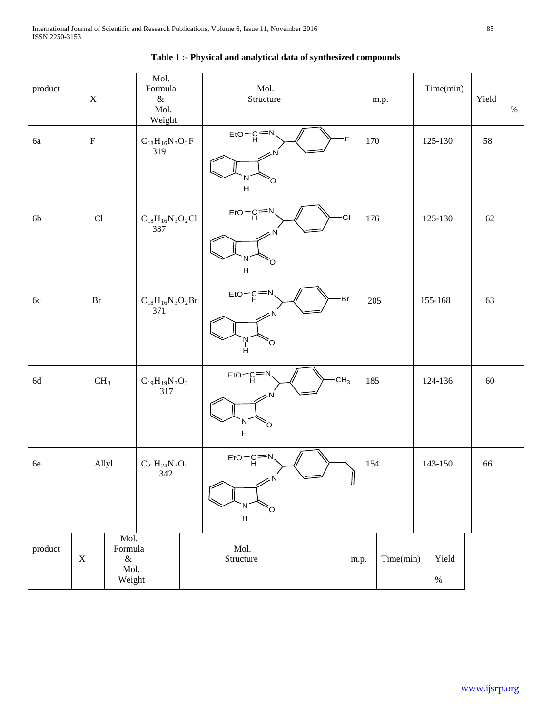| product |             | $\mathbf X$         |                                           | Mol.<br>Formula<br>$\&$<br>Mol.<br>Weight |  | Mol.<br>Structure                                               |                 |      | m.p.           |         | Time(min)     | Yield | $\%$ |
|---------|-------------|---------------------|-------------------------------------------|-------------------------------------------|--|-----------------------------------------------------------------|-----------------|------|----------------|---------|---------------|-------|------|
| 6a      |             | $\rm F$             |                                           | $C_{18}H_{16}N_3O_2F$<br>319              |  | $E$ <sub>H</sub> O $-C$ $=$ N<br>O<br>Ĥ                         | F               | 170  |                |         | 125-130       | 58    |      |
| 6b      |             | $\operatorname{Cl}$ |                                           | $\rm C_{18}H_{16}N_3O_2Cl$<br>337         |  | $E$ <sub>H</sub> $-C = N$<br>CI<br>O<br>Ĥ                       |                 |      | 176<br>125-130 |         |               | 62    |      |
| $6c$    |             | Br                  |                                           | $\rm C_{18}H_{16}N_3O_2Br$<br>371         |  | $E$ to $C$ $E$ <sup>-N</sup><br>Ņ<br>O<br>H                     | Br              | 205  |                |         | 155-168       | 63    |      |
| $6d$    |             | CH <sub>3</sub>     |                                           | $\rm C_{19}H_{19}N_3O_2$<br>317           |  | $E$ to $C$ $E$ <sup>-N</sup><br>N<br>H<br>O                     | CH <sub>3</sub> | 185  |                |         | 124-136       | 60    |      |
| $6e$    |             |                     | Allyl                                     | $\rm C_{21}H_{24}N_3O_2$<br>342           |  | $E$ to $\overline{C}$<br>$\leftharpoonup$<br>ςÑ<br>'N<br>H<br>Ö | 11              | 154  |                | 143-150 |               | 66    |      |
| product | $\mathbf X$ |                     | Mol.<br>Formula<br>$\&$<br>Mol.<br>Weight |                                           |  | Mol.<br>Structure                                               |                 | m.p. | Time(min)      |         | Yield<br>$\%$ |       |      |

# **Table 1 :- Physical and analytical data of synthesized compounds**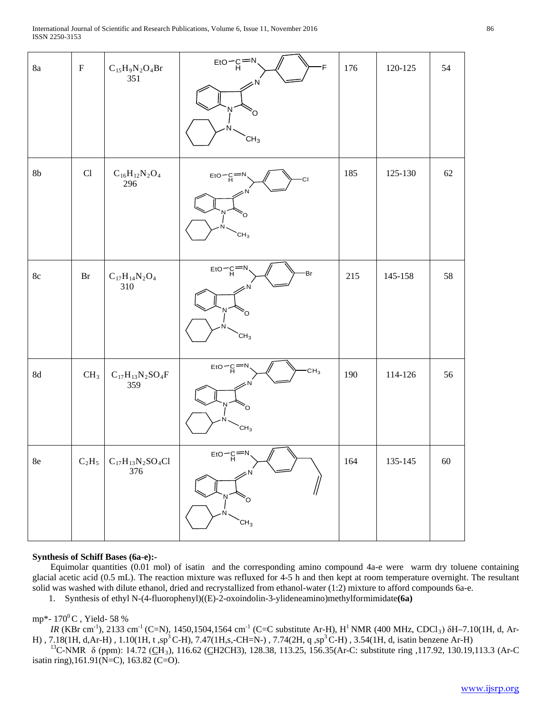| $8\mathrm{a}$ | ${\bf F}$           | $\rm C_{15}H_9N_2O_4Br$<br>351    | $E$ <sub>H</sub> O $-C$ <sup><math>=N</math></sup><br>F                                                            | 176 | 120-125     | 54 |
|---------------|---------------------|-----------------------------------|--------------------------------------------------------------------------------------------------------------------|-----|-------------|----|
|               |                     |                                   | റ                                                                                                                  |     |             |    |
|               |                     |                                   | CH <sub>3</sub>                                                                                                    |     |             |    |
| $8\mathrm{b}$ | $\operatorname{Cl}$ | $\rm C_{16}H_{12}N_2O_4$<br>296   | $E$ <sub>H</sub> O $-C$ $N$<br>СI<br>O                                                                             | 185 | 125-130     | 62 |
|               |                     |                                   | CH <sub>3</sub>                                                                                                    |     |             |    |
| $8\mathrm{c}$ | Br                  | $\rm C_{17}H_{14}N_2O_4$<br>310   | $E$ to $\neg$ C $=$ N<br>-Br                                                                                       | 215 | 145-158     | 58 |
|               |                     |                                   | Ö<br>CH <sub>3</sub>                                                                                               |     |             |    |
| $8\mathrm{d}$ | CH <sub>3</sub>     | $\rm C_{17}H_{13}N_2SO_4F$<br>359 | $E$ to $\overline{C}$ $\overline{C}$ $\overline{C}$ $\overline{C}$<br>CH <sub>3</sub><br>N<br>O<br>CH <sub>3</sub> | 190 | 114-126     | 56 |
| $8\mathrm{e}$ | $C_2H_5$            | $\rm C_{17}H_{13}N_2SO_4Cl$ 376   | $E$ to $-C = N$<br>$\geq$ N<br>O<br>CH <sub>3</sub>                                                                | 164 | $135 - 145$ | 60 |
|               |                     |                                   |                                                                                                                    |     |             |    |

## **Synthesis of Schiff Bases (6a-e):-**

 Equimolar quantities (0.01 mol) of isatin and the corresponding amino compound 4a-e were warm dry toluene containing glacial acetic acid (0.5 mL). The reaction mixture was refluxed for 4-5 h and then kept at room temperature overnight. The resultant solid was washed with dilute ethanol, dried and recrystallized from ethanol-water (1:2) mixture to afford compounds 6a-e.

1. Synthesis of ethyl N-(4-fluorophenyl)((E)-2-oxoindolin-3-ylideneamino)methylformimidate**(6a)**

## mp\*-  $170^{\circ}$ C, Yield- 58 %

*IR* (KBr cm<sup>-1</sup>), 2133 cm<sup>-1</sup> (C=N), 1450,1504,1564 cm<sup>-1</sup> (C=C substitute Ar-H), H<sup>1</sup> NMR (400 MHz, CDCl<sub>3</sub>)  $\delta$ H–7.10(1H, d, Ar-H), 7.18(1H, d,Ar-H), 1.10(1H, t,sp<sup>3</sup>C-H), 7.47(1H,s,-CH=N-), 7.74(2H, q,sp<sup>3</sup>C-H), 3.54(1H, d, isatin benzene Ar-H)

<sup>13</sup>C-NMR δ (ppm): 14.72 (CH<sub>3</sub>), 116.62 (CH2CH3), 128.38, 113.25, 156.35(Ar-C: substitute ring ,117.92, 130.19,113.3 (Ar-C isatin ring),161.91(N=C), 163.82 (C=O).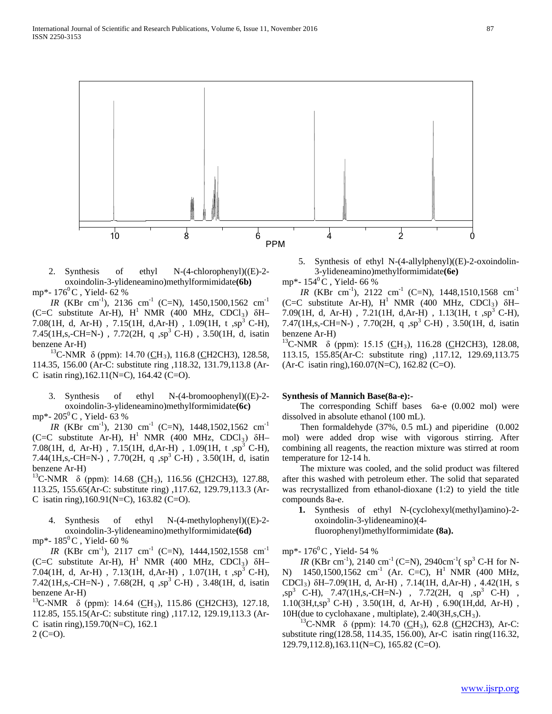

2. Synthesis of ethyl N-(4-chlorophenyl)((E)-2 oxoindolin-3-ylideneamino)methylformimidate**(6b)** mp\*-  $176^{\circ}$ C, Yield- 62 %

*IR* (KBr cm<sup>-1</sup>), 2136 cm<sup>-1</sup> (C=N), 1450,1500,1562 cm<sup>-1</sup> (C=C substitute Ar-H),  $H^1$  NMR (400 MHz, CDCl<sub>3</sub>)  $\delta H$ -7.08(1H, d, Ar-H), 7.15(1H, d,Ar-H), 1.09(1H, t,sp<sup>3</sup> C-H), 7.45(1H,s,-CH=N-), 7.72(2H, q,sp<sup>3</sup> C-H), 3.50(1H, d, isatin benzene Ar-H)

<sup>13</sup>C-NMR δ (ppm): 14.70 (CH<sub>3</sub>), 116.8 (CH2CH3), 128.58, 114.35, 156.00 (Ar-C: substitute ring ,118.32, 131.79,113.8 (Ar-C isatin ring),162.11(N=C), 164.42 (C=O).

3. Synthesis of ethyl N-(4-bromoophenyl)((E)-2 oxoindolin-3-ylideneamino)methylformimidate**(6c)**

mp\*-  $205^{\circ}$ C, Yield- 63 %

*IR* (KBr cm<sup>-1</sup>), 2130 cm<sup>-1</sup> (C=N), 1448,1502,1562 cm<sup>-1</sup> (C=C substitute Ar-H),  $H^1$  NMR (400 MHz, CDCl<sub>3</sub>)  $\delta H$ -7.08(1H, d, Ar-H), 7.15(1H, d,Ar-H), 1.09(1H, t,sp<sup>3</sup> C-H), 7.44(1H,s,-CH=N-), 7.70(2H, q,sp<sup>3</sup> C-H), 3.50(1H, d, isatin benzene Ar-H)<br><sup>13</sup>C-NMR  $\delta$  (ppm): 14.68 (CH<sub>3</sub>), 116.56 (CH2CH3), 127.88,

113.25, 155.65(Ar-C: substitute ring) ,117.62, 129.79,113.3 (Ar-C isatin ring), $160.91(N=C)$ ,  $163.82(C=O)$ .

4. Synthesis of ethyl N-(4-methylophenyl)((E)-2 oxoindolin-3-ylideneamino)methylformimidate**(6d)** mp\*-  $185^{\circ}$ C, Yield- 60 %

*IR* (KBr cm<sup>-1</sup>), 2117 cm<sup>-1</sup> (C=N), 1444,1502,1558 cm<sup>-1</sup> (C=C substitute Ar-H),  $H^1$  NMR (400 MHz, CDCl<sub>3</sub>)  $\delta$ H-7.04(1H, d, Ar-H), 7.13(1H, d,Ar-H), 1.07(1H, t,sp<sup>3</sup> C-H), 7.42(1H,s,-CH=N-), 7.68(2H, q,sp<sup>3</sup> C-H), 3.48(1H, d, isatin

benzene Ar-H)<br><sup>13</sup>C-NMR δ (ppm): 14.64 (<u>C</u>H<sub>3</sub>), 115.86 (CH2CH3), 127.18, 112.85, 155.15(Ar-C: substitute ring) ,117.12, 129.19,113.3 (Ar-C isatin ring),159.70(N=C), 162.1  $2$  (C=O).

5. Synthesis of ethyl N-(4-allylphenyl)((E)-2-oxoindolin-3-ylideneamino)methylformimidate**(6e)**

mp\*-  $154^{\circ}$ C, Yield- 66 %

*IR* (KBr cm<sup>-1</sup>), 2122 cm<sup>-1</sup> (C=N), 1448,1510,1568 cm<sup>-1</sup> (C=C substitute Ar-H),  $H^1$  NMR (400 MHz, CDCl<sub>3</sub>)  $\delta$ H-7.09(1H, d, Ar-H), 7.21(1H, d,Ar-H), 1.13(1H, t,sp<sup>3</sup> C-H), 7.47(1H,s,-CH=N-), 7.70(2H, q,sp<sup>3</sup> C-H), 3.50(1H, d, isatin benzene Ar-H)<br><sup>13</sup>C-NMR  $\delta$  (ppm): 15.15 (CH<sub>3</sub>), 116.28 (CH2CH3), 128.08,

113.15, 155.85(Ar-C: substitute ring) ,117.12, 129.69,113.75 (Ar-C isatin ring),160.07(N=C), 162.82 (C=O).

## **Synthesis of Mannich Base(8a-e):-**

 The corresponding Schiff bases 6a-e (0.002 mol) were dissolved in absolute ethanol (100 mL).

 Then formaldehyde (37%, 0.5 mL) and piperidine (0.002 mol) were added drop wise with vigorous stirring. After combining all reagents, the reaction mixture was stirred at room temperature for 12-14 h.

 The mixture was cooled, and the solid product was filtered after this washed with petroleum ether. The solid that separated was recrystallized from ethanol-dioxane (1:2) to yield the title compounds 8a-e.

**1.** Synthesis of ethyl N-(cyclohexyl(methyl)amino)-2 oxoindolin-3-ylideneamino)(4 fluorophenyl)methylformimidate **(8a).**

mp\*-  $176^{\circ}$ C, Yield- 54 %

*IR* (KBr cm<sup>-1</sup>), 2140 cm<sup>-1</sup> (C=N), 2940cm<sup>-1</sup>( $sp^3$  C-H for N-N) 1450,1500,1562 cm<sup>-1</sup> (Ar. C=C), H<sup>1</sup> NMR (400 MHz, CDCl3) δH–7.09(1H, d, Ar-H) , 7.14(1H, d,Ar-H) , 4.42(1H, s  $\text{sp}^3$  C-H), 7.47(1H,s,-CH=N-), 7.72(2H, q ,sp<sup>3</sup> C-H),  $1.10(3H,t,sp<sup>3</sup>$  C-H),  $3.50(1H, d, Ar-H)$ ,  $6.90(1H, dd, Ar-H)$ , 10H(due to cyclohaxane, multiplate),  $2.40(3H,s,CH_3)$ .

<sup>13</sup>C-NMR δ (ppm): 14.70 (CH<sub>3</sub>), 62.8 (CH2CH3), Ar-C: substitute ring(128.58, 114.35, 156.00), Ar-C isatin ring(116.32, 129.79,112.8),163.11(N=C), 165.82 (C=O).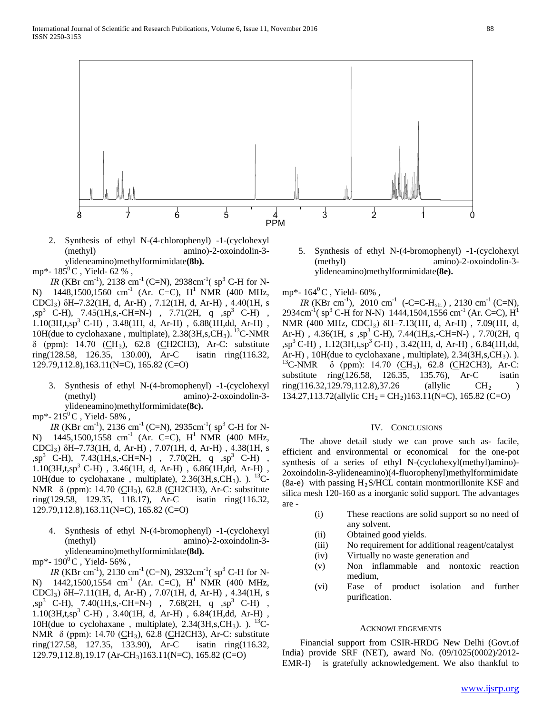

- 2. Synthesis of ethyl N-(4-chlorophenyl) -1-(cyclohexyl (methyl) amino)-2-oxoindolin-3 ylideneamino)methylformimidate**(8b).**
- mp\*-  $185^{\circ}$ C, Yield- 62 %,

*IR* (KBr cm<sup>-1</sup>), 2138 cm<sup>-1</sup> (C=N), 2938cm<sup>-1</sup>( $sp^3$  C-H for N-N)  $1448,1500,1560$  cm<sup>-1</sup> (Ar. C=C), H<sup>1</sup> NMR (400 MHz, CDCl3) δH–7.32(1H, d, Ar-H) , 7.12(1H, d, Ar-H) , 4.40(1H, s  $\text{sp}^3$  C-H), 7.45(1H, s, -CH=N-), 7.71(2H, q  $\text{sp}^3$  C-H),  $1.10(3H, t, sp^3 \text{ C-H})$ ,  $3.48(1H, d, Ar-H)$ ,  $6.88(1H, dd, Ar-H)$ , 10H(due to cyclohaxane, multiplate), 2.38(3H,s,CH<sub>3</sub>). <sup>13</sup>C-NMR  $δ$  (ppm): 14.70 (CH<sub>3</sub>), 62.8 (CH2CH3), Ar-C: substitute ring(128.58, 126.35, 130.00), Ar-C isatin ring(116.32, 129.79,112.8),163.11(N=C), 165.82 (C=O)

3. Synthesis of ethyl N-(4-bromophenyl) -1-(cyclohexyl (methyl) amino)-2-oxoindolin-3 ylideneamino)methylformimidate**(8c).**

mp\*-  $215^{\circ}$ C, Yield- 58%,

*IR* (KBr cm<sup>-1</sup>), 2136 cm<sup>-1</sup> (C=N), 2935cm<sup>-1</sup>(sp<sup>3</sup> C-H for N-N)  $1445,1500,1558$  cm<sup>-1</sup> (Ar. C=C), H<sup>1</sup> NMR (400 MHz, CDCl3) δH–7.73(1H, d, Ar-H) , 7.07(1H, d, Ar-H) , 4.38(1H, s  $\text{sp}^3$  C-H), 7.43(1H,s,-CH=N-), 7.70(2H, q ,sp<sup>3</sup> C-H),  $1.10(3H, t, sp^3 \text{ C-H})$ ,  $3.46(1H, d, Ar-H)$ ,  $6.86(1H, dd, Ar-H)$ , 10H(due to cyclohaxane, multiplate),  $2.36(3H,s,CH_3)$ .  $\cdot$  <sup>13</sup>C-NMR  $δ$  (ppm): 14.70 (CH<sub>3</sub>), 62.8 (CH2CH3), Ar-C: substitute ring(129.58, 129.35, 118.17), Ar-C isatin ring(116.32,  $ring(129.58, 129.35, 118.17)$ , Ar-C 129.79,112.8),163.11(N=C), 165.82 (C=O)

4. Synthesis of ethyl N-(4-bromophenyl) -1-(cyclohexyl (methyl) amino)-2-oxoindolin-3 ylideneamino)methylformimidate**(8d).**

mp\*-  $190^{\circ}$ C, Yield- 56%,

*IR* (KBr cm<sup>-1</sup>), 2130 cm<sup>-1</sup> (C=N), 2932cm<sup>-1</sup>( sp<sup>3</sup> C-H for N-N) 1442,1500,1554 cm<sup>-1</sup> (Ar. C=C), H<sup>1</sup> NMR (400 MHz, CDCl3) δH–7.11(1H, d, Ar-H) , 7.07(1H, d, Ar-H) , 4.34(1H, s  $\text{sg}^3$  C-H), 7.40(1H,s,-CH=N-), 7.68(2H, q,  $\text{sg}^3$  C-H),  $1.10(3H, t, sp<sup>3</sup> C-H)$ ,  $3.40(1H, d, Ar-H)$ ,  $6.84(1H, dd, Ar-H)$ , 10H(due to cyclohaxane, multiplate),  $2.34(3H,s,CH_3)$ .  $13C$ -NMR δ (ppm): 14.70 (CH<sub>3</sub>), 62.8 (CH2CH3), Ar-C: substitute ring(127.58, 127.35, 133.90), Ar-C isatin ring(116.32, 129.79,112.8),19.17 (Ar-CH3)163.11(N=C), 165.82 (C=O)

5. Synthesis of ethyl N-(4-bromophenyl) -1-(cyclohexyl (methyl) amino)-2-oxoindolin-3 ylideneamino)methylformimidate**(8e).**

mp\*-  $164^{\circ}$ C, Yield-  $60\%$ ,

*IR* (KBr cm<sup>-1</sup>), 2010 cm<sup>-1</sup> (-C=C-H<sub>str.</sub>), 2130 cm<sup>-1</sup> (C=N), 2934cm<sup>-1</sup>(sp<sup>3</sup> C-H for N-N) 1444,1504,1556 cm<sup>-1</sup> (Ar. C=C), H<sup>1</sup> NMR (400 MHz, CDCl3) δH–7.13(1H, d, Ar-H) , 7.09(1H, d, Ar-H),  $4.36(1H, s, sp<sup>3</sup> C-H)$ ,  $7.44(1H, s, -CH=N-)$ ,  $7.70(2H, q)$  $\text{sp}^3$  C-H), 1.12(3H,t,sp<sup>3</sup> C-H), 3.42(1H, d, Ar-H), 6.84(1H,dd, Ar-H), 10H(due to cyclohaxane, multiplate), 2.34(3H,s,CH<sub>3</sub>). ). <sup>13</sup>C-NMR  $\delta$  (ppm): 14.70 (CH<sub>3</sub>), 62.8 (CH2CH3), Ar-C: substitute ring(126.58, 126.35, 135.76), Ar-C isatin ring(116.32,129.79,112.8),37.26 (allylic CH<sub>2</sub> ) 134.27,113.72(allylic  $CH_2 = CH_2$ )163.11(N=C), 165.82 (C=O)

#### IV. CONCLUSIONS

 The above detail study we can prove such as- facile, efficient and environmental or economical for the one-pot synthesis of a series of ethyl N-(cyclohexyl(methyl)amino)- 2oxoindolin-3-ylideneamino)(4-fluorophenyl)methylformimidate  $(8a-e)$  with passing H<sub>2</sub>S/HCL contain montmorillonite KSF and silica mesh 120-160 as a inorganic solid support. The advantages are -

- (i) These reactions are solid support so no need of any solvent.
- (ii) Obtained good yields.
- (iii) No requirement for additional reagent/catalyst
- (iv) Virtually no waste generation and
- (v) Non inflammable and nontoxic reaction medium,
- (vi) Ease of product isolation and further purification.

## ACKNOWLEDGEMENTS

 Financial support from CSIR-HRDG New Delhi (Govt.of India) provide SRF (NET), award No. (09/1025(0002)/2012- EMR-I) is gratefully acknowledgement. We also thankful to